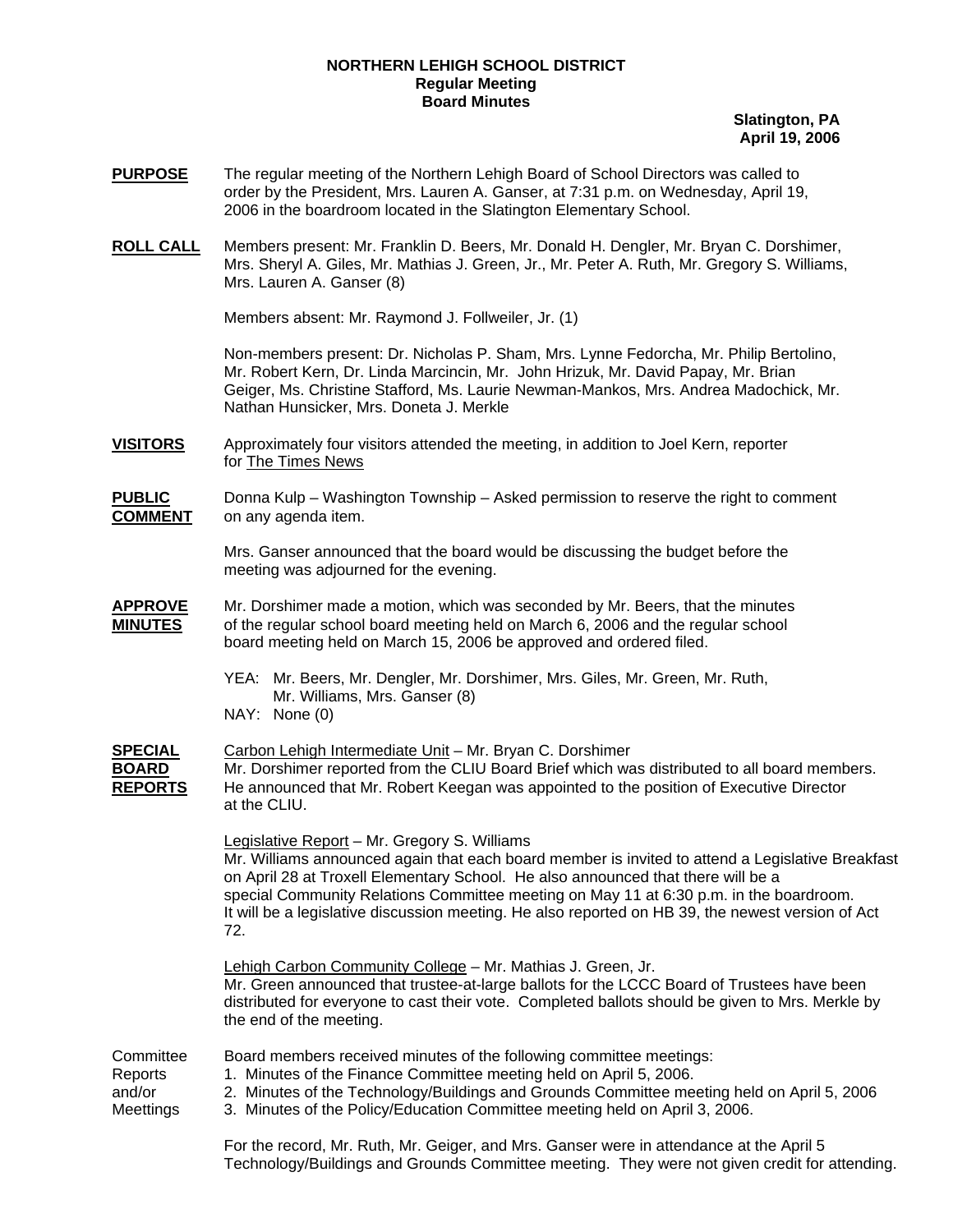## **NORTHERN LEHIGH SCHOOL DISTRICT Regular Meeting Board Minutes**

**Slatington, PA April 19, 2006**

- **PURPOSE** The regular meeting of the Northern Lehigh Board of School Directors was called to order by the President, Mrs. Lauren A. Ganser, at 7:31 p.m. on Wednesday, April 19, 2006 in the boardroom located in the Slatington Elementary School.
- **ROLL CALL** Members present: Mr. Franklin D. Beers, Mr. Donald H. Dengler, Mr. Bryan C. Dorshimer, Mrs. Sheryl A. Giles, Mr. Mathias J. Green, Jr., Mr. Peter A. Ruth, Mr. Gregory S. Williams, Mrs. Lauren A. Ganser (8)

Members absent: Mr. Raymond J. Follweiler, Jr. (1)

Non-members present: Dr. Nicholas P. Sham, Mrs. Lynne Fedorcha, Mr. Philip Bertolino, Mr. Robert Kern, Dr. Linda Marcincin, Mr. John Hrizuk, Mr. David Papay, Mr. Brian Geiger, Ms. Christine Stafford, Ms. Laurie Newman-Mankos, Mrs. Andrea Madochick, Mr. Nathan Hunsicker, Mrs. Doneta J. Merkle

**VISITORS** Approximately four visitors attended the meeting, in addition to Joel Kern, reporter for The Times News

**PUBLIC** Donna Kulp – Washington Township – Asked permission to reserve the right to comment **COMMENT** on any agenda item.

> Mrs. Ganser announced that the board would be discussing the budget before the meeting was adjourned for the evening.

- **APPROVE** Mr. Dorshimer made a motion, which was seconded by Mr. Beers, that the minutes **MINUTES** of the regular school board meeting held on March 6, 2006 and the regular school board meeting held on March 15, 2006 be approved and ordered filed.
	- YEA: Mr. Beers, Mr. Dengler, Mr. Dorshimer, Mrs. Giles, Mr. Green, Mr. Ruth, Mr. Williams, Mrs. Ganser (8)
	- NAY: None (0)

**SPECIAL** Carbon Lehigh Intermediate Unit – Mr. Bryan C. Dorshimer **BOARD** Mr. Dorshimer reported from the CLIU Board Brief which was distributed to all board members. **REPORTS** He announced that Mr. Robert Keegan was appointed to the position of Executive Director at the CLIU.

> Legislative Report – Mr. Gregory S. Williams Mr. Williams announced again that each board member is invited to attend a Legislative Breakfast on April 28 at Troxell Elementary School. He also announced that there will be a special Community Relations Committee meeting on May 11 at 6:30 p.m. in the boardroom. It will be a legislative discussion meeting. He also reported on HB 39, the newest version of Act 72.

Lehigh Carbon Community College – Mr. Mathias J. Green, Jr. Mr. Green announced that trustee-at-large ballots for the LCCC Board of Trustees have been distributed for everyone to cast their vote. Completed ballots should be given to Mrs. Merkle by the end of the meeting.

| Committee | Board members received minutes of the following committee meetings:                        |  |  |
|-----------|--------------------------------------------------------------------------------------------|--|--|
| Reports   | 1. Minutes of the Finance Committee meeting held on April 5, 2006.                         |  |  |
| and/or    | 2. Minutes of the Technology/Buildings and Grounds Committee meeting held on April 5, 2006 |  |  |
| Meettings | 3. Minutes of the Policy/Education Committee meeting held on April 3, 2006.                |  |  |
|           | Ear the recent Mr. Buth Mr. Coiger, and Mrs. Capser were in attendance at the April 5      |  |  |

For the record, Mr. Ruth, Mr. Geiger, and Mrs. Ganser were in attendance at the April 5 Technology/Buildings and Grounds Committee meeting. They were not given credit for attending.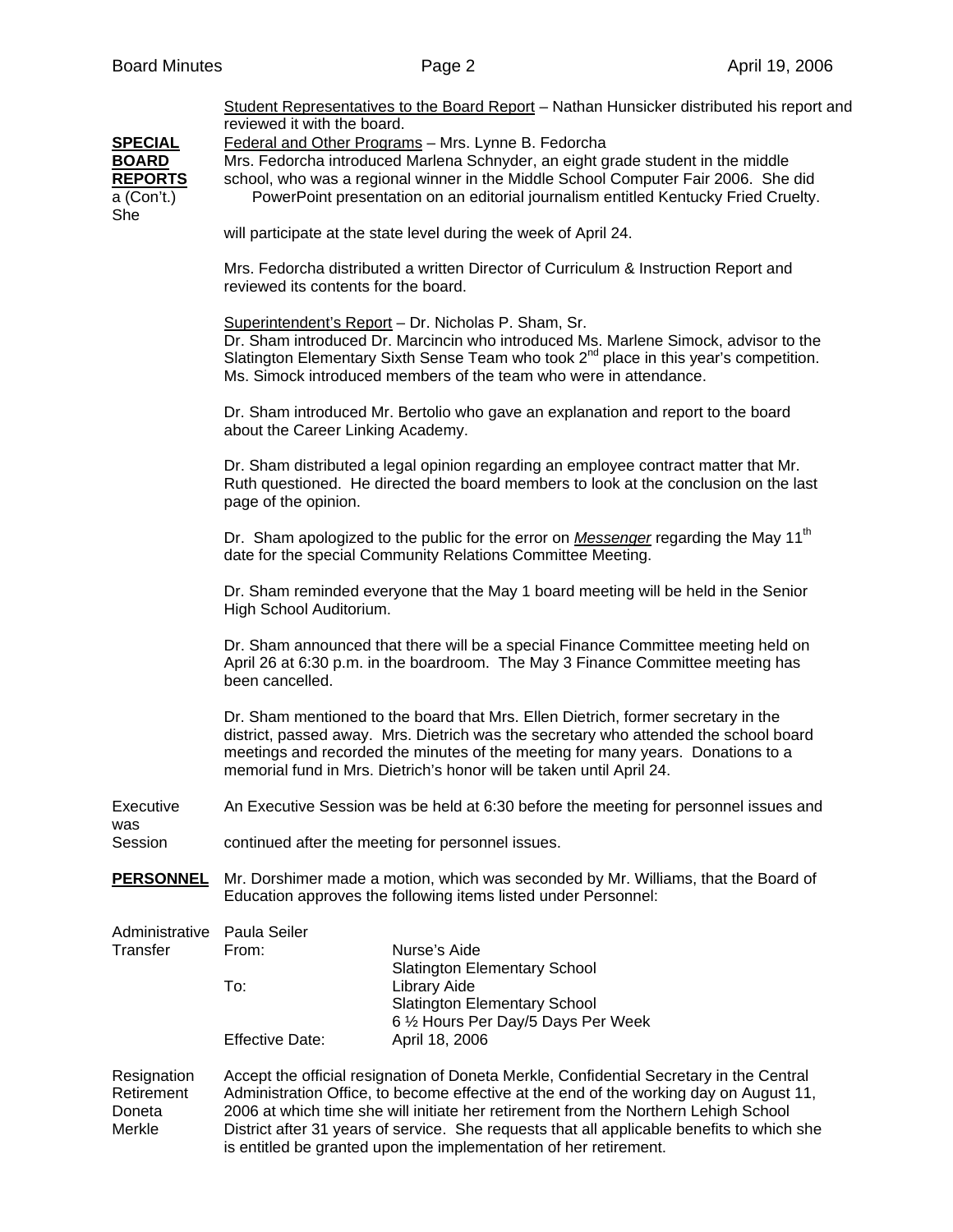| <b>SPECIAL</b><br><b>BOARD</b><br><b>REPORTS</b><br>a (Con't.)<br>She | reviewed it with the board.<br>reviewed its contents for the board.<br>about the Career Linking Academy.<br>page of the opinion.<br>High School Auditorium.                                                                                                                                                                                                                                                                                | Student Representatives to the Board Report - Nathan Hunsicker distributed his report and<br>Federal and Other Programs - Mrs. Lynne B. Fedorcha<br>Mrs. Fedorcha introduced Marlena Schnyder, an eight grade student in the middle<br>school, who was a regional winner in the Middle School Computer Fair 2006. She did<br>PowerPoint presentation on an editorial journalism entitled Kentucky Fried Cruelty.<br>will participate at the state level during the week of April 24.<br>Mrs. Fedorcha distributed a written Director of Curriculum & Instruction Report and<br>Superintendent's Report - Dr. Nicholas P. Sham, Sr.<br>Dr. Sham introduced Dr. Marcincin who introduced Ms. Marlene Simock, advisor to the<br>Slatington Elementary Sixth Sense Team who took $2^{nd}$ place in this year's competition.<br>Ms. Simock introduced members of the team who were in attendance.<br>Dr. Sham introduced Mr. Bertolio who gave an explanation and report to the board<br>Dr. Sham distributed a legal opinion regarding an employee contract matter that Mr.<br>Ruth questioned. He directed the board members to look at the conclusion on the last<br>Dr. Sham apologized to the public for the error on Messenger regarding the May 11 <sup>th</sup><br>date for the special Community Relations Committee Meeting.<br>Dr. Sham reminded everyone that the May 1 board meeting will be held in the Senior<br>Dr. Sham announced that there will be a special Finance Committee meeting held on |  |
|-----------------------------------------------------------------------|--------------------------------------------------------------------------------------------------------------------------------------------------------------------------------------------------------------------------------------------------------------------------------------------------------------------------------------------------------------------------------------------------------------------------------------------|--------------------------------------------------------------------------------------------------------------------------------------------------------------------------------------------------------------------------------------------------------------------------------------------------------------------------------------------------------------------------------------------------------------------------------------------------------------------------------------------------------------------------------------------------------------------------------------------------------------------------------------------------------------------------------------------------------------------------------------------------------------------------------------------------------------------------------------------------------------------------------------------------------------------------------------------------------------------------------------------------------------------------------------------------------------------------------------------------------------------------------------------------------------------------------------------------------------------------------------------------------------------------------------------------------------------------------------------------------------------------------------------------------------------------------------------------------------------------------------------------------------|--|
|                                                                       | April 26 at 6:30 p.m. in the boardroom. The May 3 Finance Committee meeting has<br>been cancelled.<br>Dr. Sham mentioned to the board that Mrs. Ellen Dietrich, former secretary in the<br>district, passed away. Mrs. Dietrich was the secretary who attended the school board<br>meetings and recorded the minutes of the meeting for many years. Donations to a<br>memorial fund in Mrs. Dietrich's honor will be taken until April 24. |                                                                                                                                                                                                                                                                                                                                                                                                                                                                                                                                                                                                                                                                                                                                                                                                                                                                                                                                                                                                                                                                                                                                                                                                                                                                                                                                                                                                                                                                                                              |  |
| Executive                                                             | An Executive Session was be held at 6:30 before the meeting for personnel issues and                                                                                                                                                                                                                                                                                                                                                       |                                                                                                                                                                                                                                                                                                                                                                                                                                                                                                                                                                                                                                                                                                                                                                                                                                                                                                                                                                                                                                                                                                                                                                                                                                                                                                                                                                                                                                                                                                              |  |
| was<br>Session                                                        | continued after the meeting for personnel issues.                                                                                                                                                                                                                                                                                                                                                                                          |                                                                                                                                                                                                                                                                                                                                                                                                                                                                                                                                                                                                                                                                                                                                                                                                                                                                                                                                                                                                                                                                                                                                                                                                                                                                                                                                                                                                                                                                                                              |  |
| <b>PERSONNEL</b>                                                      |                                                                                                                                                                                                                                                                                                                                                                                                                                            | Mr. Dorshimer made a motion, which was seconded by Mr. Williams, that the Board of<br>Education approves the following items listed under Personnel:                                                                                                                                                                                                                                                                                                                                                                                                                                                                                                                                                                                                                                                                                                                                                                                                                                                                                                                                                                                                                                                                                                                                                                                                                                                                                                                                                         |  |
| Administrative<br>Transfer                                            | Paula Seiler<br>From:<br>To:<br><b>Effective Date:</b>                                                                                                                                                                                                                                                                                                                                                                                     | Nurse's Aide<br><b>Slatington Elementary School</b><br>Library Aide<br><b>Slatington Elementary School</b><br>6 1/2 Hours Per Day/5 Days Per Week<br>April 18, 2006                                                                                                                                                                                                                                                                                                                                                                                                                                                                                                                                                                                                                                                                                                                                                                                                                                                                                                                                                                                                                                                                                                                                                                                                                                                                                                                                          |  |
| Resignation<br>Retirement<br>Doneta                                   | Accept the official resignation of Doneta Merkle, Confidential Secretary in the Central<br>Administration Office, to become effective at the end of the working day on August 11,<br>2006 at which time she will initiate her retirement from the Northern Lehigh School                                                                                                                                                                   |                                                                                                                                                                                                                                                                                                                                                                                                                                                                                                                                                                                                                                                                                                                                                                                                                                                                                                                                                                                                                                                                                                                                                                                                                                                                                                                                                                                                                                                                                                              |  |

Merkle District after 31 years of service. She requests that all applicable benefits to which she

is entitled be granted upon the implementation of her retirement.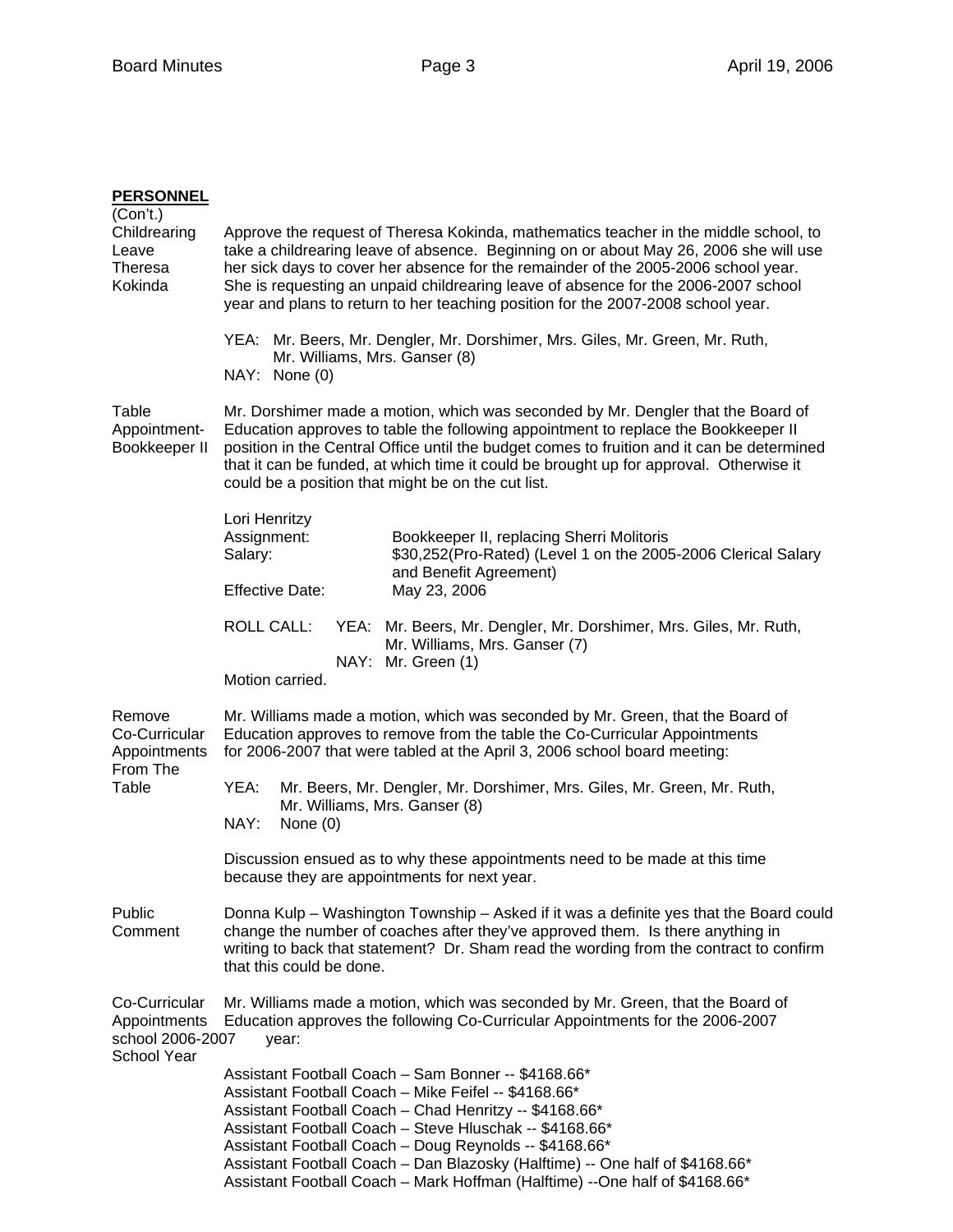| <b>PERSONNEL</b><br>(Con't.)                                     |                                                                                                                                                                                                                                                                                                                                                                                                                                                           |  |  |
|------------------------------------------------------------------|-----------------------------------------------------------------------------------------------------------------------------------------------------------------------------------------------------------------------------------------------------------------------------------------------------------------------------------------------------------------------------------------------------------------------------------------------------------|--|--|
| Childrearing<br>Leave<br>Theresa<br>Kokinda                      | Approve the request of Theresa Kokinda, mathematics teacher in the middle school, to<br>take a childrearing leave of absence. Beginning on or about May 26, 2006 she will use<br>her sick days to cover her absence for the remainder of the 2005-2006 school year.<br>She is requesting an unpaid childrearing leave of absence for the 2006-2007 school<br>year and plans to return to her teaching position for the 2007-2008 school year.             |  |  |
|                                                                  | YEA: Mr. Beers, Mr. Dengler, Mr. Dorshimer, Mrs. Giles, Mr. Green, Mr. Ruth,<br>Mr. Williams, Mrs. Ganser (8)<br>NAY: None (0)                                                                                                                                                                                                                                                                                                                            |  |  |
| Table<br>Appointment-<br>Bookkeeper II                           | Mr. Dorshimer made a motion, which was seconded by Mr. Dengler that the Board of<br>Education approves to table the following appointment to replace the Bookkeeper II<br>position in the Central Office until the budget comes to fruition and it can be determined<br>that it can be funded, at which time it could be brought up for approval. Otherwise it<br>could be a position that might be on the cut list.                                      |  |  |
|                                                                  | Lori Henritzy<br>Assignment:<br>Bookkeeper II, replacing Sherri Molitoris<br>Salary:<br>\$30,252(Pro-Rated) (Level 1 on the 2005-2006 Clerical Salary<br>and Benefit Agreement)<br><b>Effective Date:</b><br>May 23, 2006                                                                                                                                                                                                                                 |  |  |
|                                                                  | <b>ROLL CALL:</b><br>YEA: Mr. Beers, Mr. Dengler, Mr. Dorshimer, Mrs. Giles, Mr. Ruth,<br>Mr. Williams, Mrs. Ganser (7)<br>NAY: Mr. Green (1)<br>Motion carried.                                                                                                                                                                                                                                                                                          |  |  |
| Remove<br>Co-Curricular<br>Appointments                          | Mr. Williams made a motion, which was seconded by Mr. Green, that the Board of<br>Education approves to remove from the table the Co-Curricular Appointments<br>for 2006-2007 that were tabled at the April 3, 2006 school board meeting:                                                                                                                                                                                                                 |  |  |
| From The<br>Table                                                | Mr. Beers, Mr. Dengler, Mr. Dorshimer, Mrs. Giles, Mr. Green, Mr. Ruth,<br>YEA:<br>Mr. Williams, Mrs. Ganser (8)<br>NAY:<br>None $(0)$                                                                                                                                                                                                                                                                                                                    |  |  |
|                                                                  | Discussion ensued as to why these appointments need to be made at this time<br>because they are appointments for next year.                                                                                                                                                                                                                                                                                                                               |  |  |
| Public<br>Comment                                                | Donna Kulp – Washington Township – Asked if it was a definite yes that the Board could<br>change the number of coaches after they've approved them. Is there anything in<br>writing to back that statement? Dr. Sham read the wording from the contract to confirm<br>that this could be done.                                                                                                                                                            |  |  |
| Co-Curricular<br>Appointments<br>school 2006-2007<br>School Year | Mr. Williams made a motion, which was seconded by Mr. Green, that the Board of<br>Education approves the following Co-Curricular Appointments for the 2006-2007<br>year:                                                                                                                                                                                                                                                                                  |  |  |
|                                                                  | Assistant Football Coach - Sam Bonner -- \$4168.66*<br>Assistant Football Coach - Mike Feifel -- \$4168.66*<br>Assistant Football Coach - Chad Henritzy -- \$4168.66*<br>Assistant Football Coach - Steve Hluschak -- \$4168.66*<br>Assistant Football Coach - Doug Reynolds -- \$4168.66*<br>Assistant Football Coach - Dan Blazosky (Halftime) -- One half of \$4168.66*<br>Assistant Football Coach - Mark Hoffman (Halftime) --One half of \$4168.66* |  |  |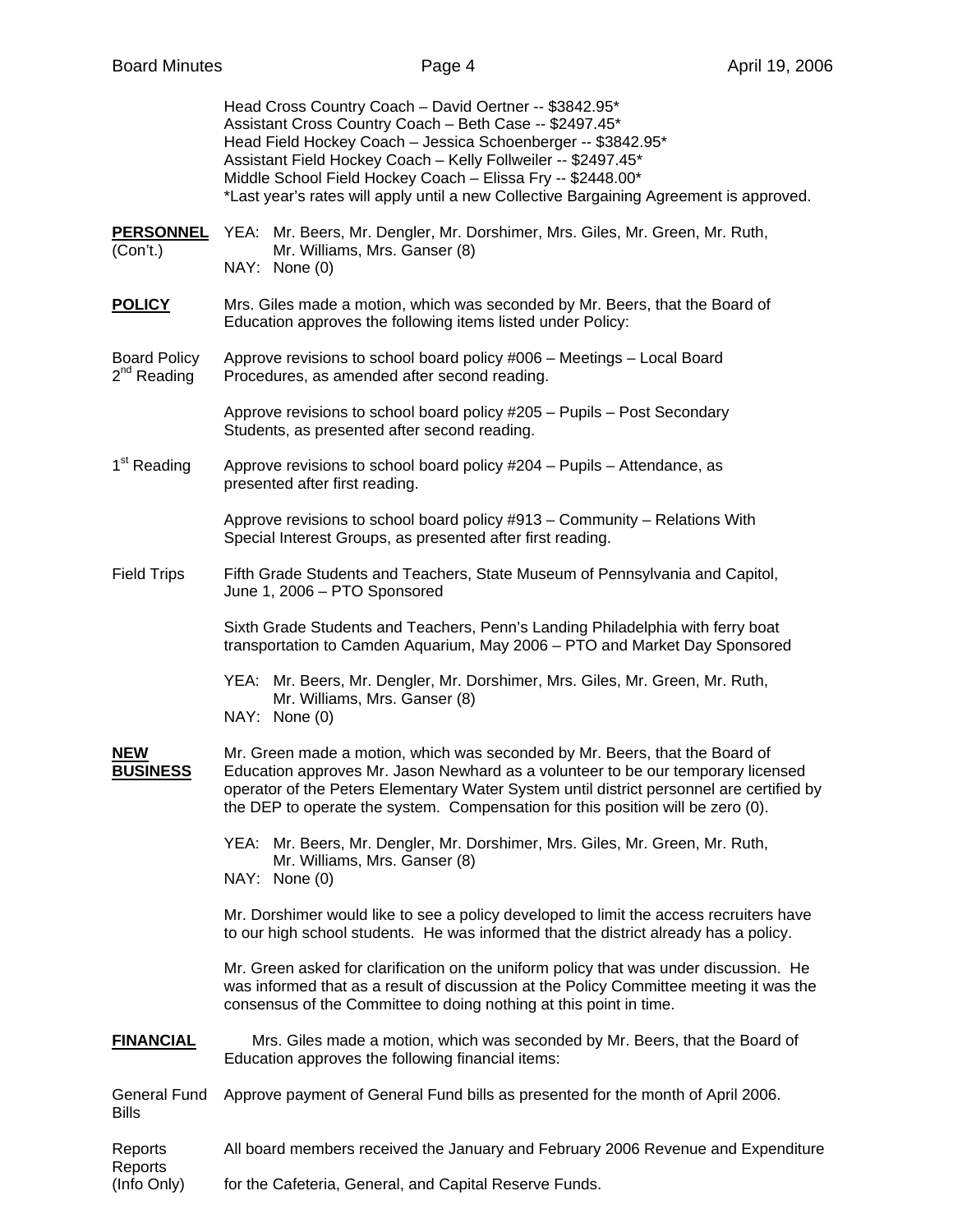Head Cross Country Coach – David Oertner -- \$3842.95\* Assistant Cross Country Coach – Beth Case -- \$2497.45\* Head Field Hockey Coach – Jessica Schoenberger -- \$3842.95\* Assistant Field Hockey Coach – Kelly Follweiler -- \$2497.45\* Middle School Field Hockey Coach – Elissa Fry -- \$2448.00\* \*Last year's rates will apply until a new Collective Bargaining Agreement is approved.

- **PERSONNEL** YEA: Mr. Beers, Mr. Dengler, Mr. Dorshimer, Mrs. Giles, Mr. Green, Mr. Ruth, (Con't.) Mr. Williams, Mrs. Ganser (8) NAY: None (0)
- **POLICY** Mrs. Giles made a motion, which was seconded by Mr. Beers, that the Board of Education approves the following items listed under Policy:
- Board Policy Approve revisions to school board policy #006 Meetings Local Board  $2^{nd}$  Reading Procedures, as amended after second reading. Procedures, as amended after second reading.

Approve revisions to school board policy #205 – Pupils – Post Secondary Students, as presented after second reading.

 $1<sup>st</sup>$  Reading Approve revisions to school board policy #204 – Pupils – Attendance, as presented after first reading.

> Approve revisions to school board policy #913 – Community – Relations With Special Interest Groups, as presented after first reading.

Field Trips Fifth Grade Students and Teachers, State Museum of Pennsylvania and Capitol, June 1, 2006 – PTO Sponsored

> Sixth Grade Students and Teachers, Penn's Landing Philadelphia with ferry boat transportation to Camden Aquarium, May 2006 – PTO and Market Day Sponsored

 YEA: Mr. Beers, Mr. Dengler, Mr. Dorshimer, Mrs. Giles, Mr. Green, Mr. Ruth, Mr. Williams, Mrs. Ganser (8)

NAY: None (0)

**NEW** Mr. Green made a motion, which was seconded by Mr. Beers, that the Board of **BUSINESS** Education approves Mr. Jason Newhard as a volunteer to be our temporary licensed operator of the Peters Elementary Water System until district personnel are certified by the DEP to operate the system. Compensation for this position will be zero (0).

> YEA: Mr. Beers, Mr. Dengler, Mr. Dorshimer, Mrs. Giles, Mr. Green, Mr. Ruth, Mr. Williams, Mrs. Ganser (8) NAY: None (0)

Mr. Dorshimer would like to see a policy developed to limit the access recruiters have to our high school students. He was informed that the district already has a policy.

Mr. Green asked for clarification on the uniform policy that was under discussion. He was informed that as a result of discussion at the Policy Committee meeting it was the consensus of the Committee to doing nothing at this point in time.

**FINANCIAL** Mrs. Giles made a motion, which was seconded by Mr. Beers, that the Board of Education approves the following financial items:

General Fund Approve payment of General Fund bills as presented for the month of April 2006. Bills

Reports All board members received the January and February 2006 Revenue and Expenditure Reports

(Info Only) for the Cafeteria, General, and Capital Reserve Funds.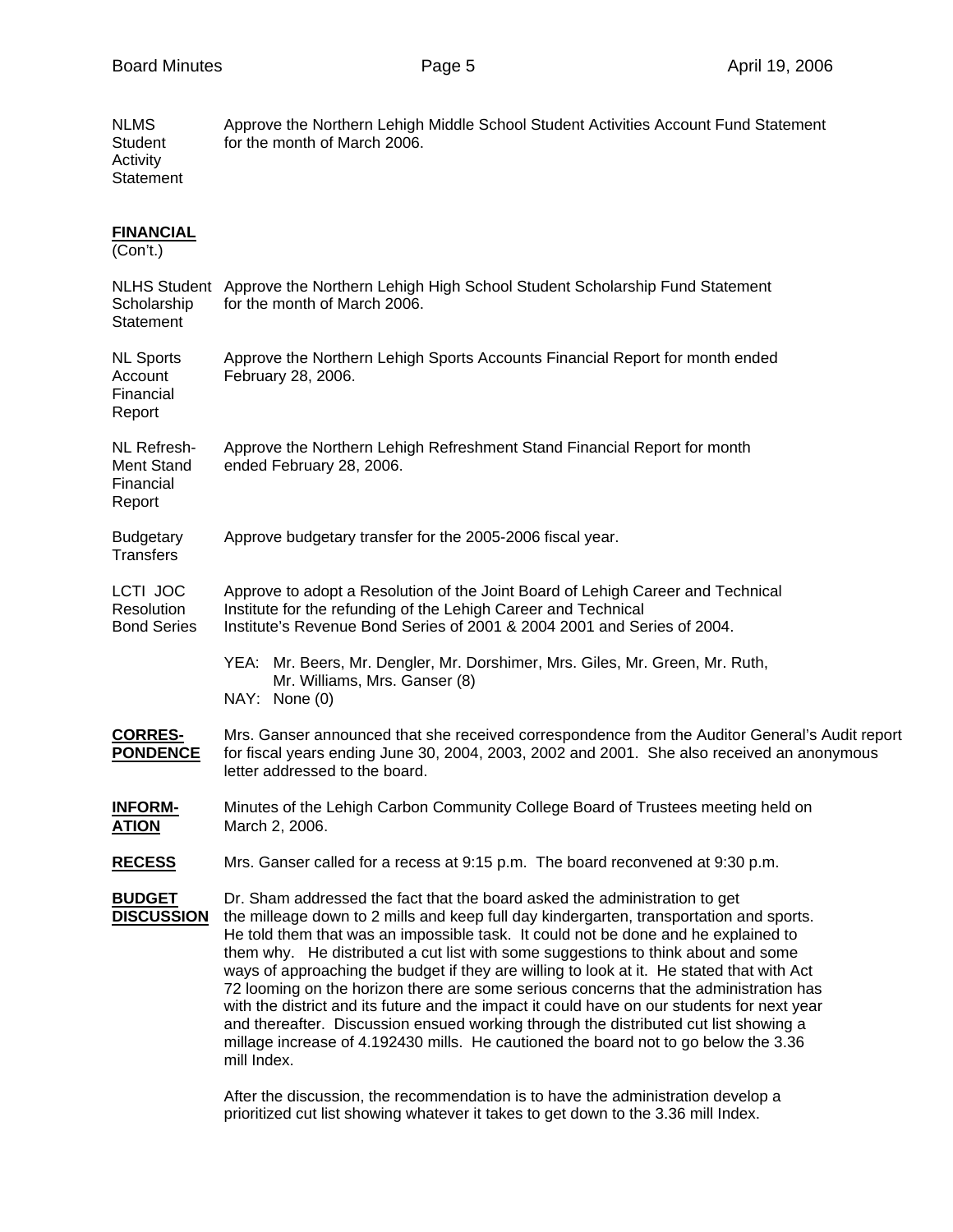| NLMS<br>Student<br>Activity<br>Statement                | Approve the Northern Lehigh Middle School Student Activities Account Fund Statement<br>for the month of March 2006.                                                                                                                                                                                                                                                                                                                                                                                                                                                                                                                                                                                                                                                                                                                 |  |  |
|---------------------------------------------------------|-------------------------------------------------------------------------------------------------------------------------------------------------------------------------------------------------------------------------------------------------------------------------------------------------------------------------------------------------------------------------------------------------------------------------------------------------------------------------------------------------------------------------------------------------------------------------------------------------------------------------------------------------------------------------------------------------------------------------------------------------------------------------------------------------------------------------------------|--|--|
| <b>FINANCIAL</b><br>(Con't.)                            |                                                                                                                                                                                                                                                                                                                                                                                                                                                                                                                                                                                                                                                                                                                                                                                                                                     |  |  |
| Scholarship<br><b>Statement</b>                         | NLHS Student Approve the Northern Lehigh High School Student Scholarship Fund Statement<br>for the month of March 2006.                                                                                                                                                                                                                                                                                                                                                                                                                                                                                                                                                                                                                                                                                                             |  |  |
| <b>NL Sports</b><br>Account<br>Financial<br>Report      | Approve the Northern Lehigh Sports Accounts Financial Report for month ended<br>February 28, 2006.                                                                                                                                                                                                                                                                                                                                                                                                                                                                                                                                                                                                                                                                                                                                  |  |  |
| NL Refresh-<br><b>Ment Stand</b><br>Financial<br>Report | Approve the Northern Lehigh Refreshment Stand Financial Report for month<br>ended February 28, 2006.                                                                                                                                                                                                                                                                                                                                                                                                                                                                                                                                                                                                                                                                                                                                |  |  |
| <b>Budgetary</b><br>Transfers                           | Approve budgetary transfer for the 2005-2006 fiscal year.                                                                                                                                                                                                                                                                                                                                                                                                                                                                                                                                                                                                                                                                                                                                                                           |  |  |
| <b>LCTI JOC</b><br>Resolution<br><b>Bond Series</b>     | Approve to adopt a Resolution of the Joint Board of Lehigh Career and Technical<br>Institute for the refunding of the Lehigh Career and Technical<br>Institute's Revenue Bond Series of 2001 & 2004 2001 and Series of 2004.                                                                                                                                                                                                                                                                                                                                                                                                                                                                                                                                                                                                        |  |  |
|                                                         | YEA: Mr. Beers, Mr. Dengler, Mr. Dorshimer, Mrs. Giles, Mr. Green, Mr. Ruth,<br>Mr. Williams, Mrs. Ganser (8)<br>NAY: None (0)                                                                                                                                                                                                                                                                                                                                                                                                                                                                                                                                                                                                                                                                                                      |  |  |
| <b>CORRES-</b><br><b>PONDENCE</b>                       | Mrs. Ganser announced that she received correspondence from the Auditor General's Audit report<br>for fiscal years ending June 30, 2004, 2003, 2002 and 2001. She also received an anonymous<br>letter addressed to the board.                                                                                                                                                                                                                                                                                                                                                                                                                                                                                                                                                                                                      |  |  |
| <u>INFORM-</u><br><b>ATION</b>                          | Minutes of the Lehigh Carbon Community College Board of Trustees meeting held on<br>March 2, 2006.                                                                                                                                                                                                                                                                                                                                                                                                                                                                                                                                                                                                                                                                                                                                  |  |  |
| <b>RECESS</b>                                           | Mrs. Ganser called for a recess at 9:15 p.m. The board reconvened at 9:30 p.m.                                                                                                                                                                                                                                                                                                                                                                                                                                                                                                                                                                                                                                                                                                                                                      |  |  |
| <b>BUDGET</b><br><b>DISCUSSION</b>                      | Dr. Sham addressed the fact that the board asked the administration to get<br>the milleage down to 2 mills and keep full day kindergarten, transportation and sports.<br>He told them that was an impossible task. It could not be done and he explained to<br>them why. He distributed a cut list with some suggestions to think about and some<br>ways of approaching the budget if they are willing to look at it. He stated that with Act<br>72 looming on the horizon there are some serious concerns that the administration has<br>with the district and its future and the impact it could have on our students for next year<br>and thereafter. Discussion ensued working through the distributed cut list showing a<br>millage increase of 4.192430 mills. He cautioned the board not to go below the 3.36<br>mill Index. |  |  |

 After the discussion, the recommendation is to have the administration develop a prioritized cut list showing whatever it takes to get down to the 3.36 mill Index.